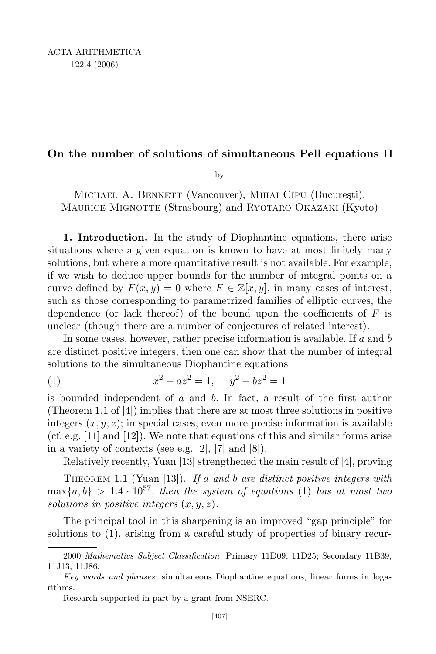## On the number of solutions of simultaneous Pell equations II

by

MICHAEL A. BENNETT (Vancouver), MIHAI CIPU (București), MAURICE MIGNOTTE (Strasbourg) and RYOTARO OKAZAKI (Kyoto)

1. Introduction. In the study of Diophantine equations, there arise situations where a given equation is known to have at most finitely many solutions, but where a more quantitative result is not available. For example, if we wish to deduce upper bounds for the number of integral points on a curve defined by  $F(x, y) = 0$  where  $F \in \mathbb{Z}[x, y]$ , in many cases of interest, such as those corresponding to parametrized families of elliptic curves, the dependence (or lack thereof) of the bound upon the coefficients of  $F$  is unclear (though there are a number of conjectures of related interest).

In some cases, however, rather precise information is available. If a and b are distinct positive integers, then one can show that the number of integral solutions to the simultaneous Diophantine equations

 $(x)$  x  $x^{2} - az^{2} = 1$ ,  $y^{2} - bz^{2} = 1$ 

is bounded independent of  $a$  and  $b$ . In fact, a result of the first author (Theorem 1.1 of [4]) implies that there are at most three solutions in positive integers  $(x, y, z)$ ; in special cases, even more precise information is available (cf. e.g. [11] and [12]). We note that equations of this and similar forms arise in a variety of contexts (see e.g. [2], [7] and [8]).

Relatively recently, Yuan [13] strengthened the main result of [4], proving

THEOREM 1.1 (Yuan  $[13]$ ). If a and b are distinct positive integers with  $\max\{a,b\}$  > 1.4 ·  $10^{57}$ , then the system of equations (1) has at most two solutions in positive integers  $(x, y, z)$ .

The principal tool in this sharpening is an improved "gap principle" for solutions to (1), arising from a careful study of properties of binary recur-

<sup>2000</sup> Mathematics Subject Classification: Primary 11D09, 11D25; Secondary 11B39, 11J13, 11J86.

Key words and phrases: simultaneous Diophantine equations, linear forms in logarithms.

Research supported in part by a grant from NSERC.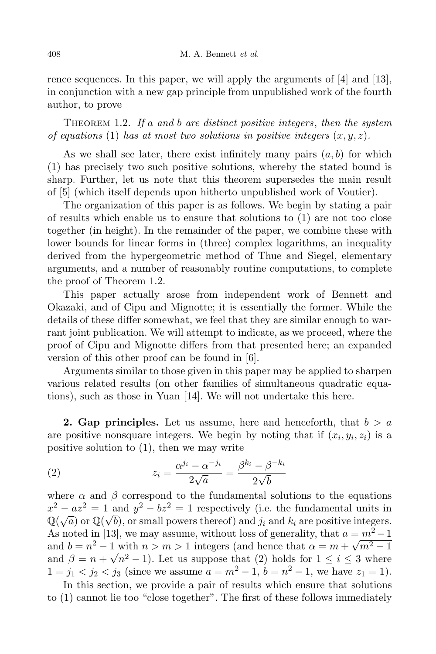rence sequences. In this paper, we will apply the arguments of [4] and [13], in conjunction with a new gap principle from unpublished work of the fourth author, to prove

THEOREM 1.2. If a and b are distinct positive integers, then the system of equations (1) has at most two solutions in positive integers  $(x, y, z)$ .

As we shall see later, there exist infinitely many pairs  $(a, b)$  for which (1) has precisely two such positive solutions, whereby the stated bound is sharp. Further, let us note that this theorem supersedes the main result of [5] (which itself depends upon hitherto unpublished work of Voutier).

The organization of this paper is as follows. We begin by stating a pair of results which enable us to ensure that solutions to (1) are not too close together (in height). In the remainder of the paper, we combine these with lower bounds for linear forms in (three) complex logarithms, an inequality derived from the hypergeometric method of Thue and Siegel, elementary arguments, and a number of reasonably routine computations, to complete the proof of Theorem 1.2.

This paper actually arose from independent work of Bennett and Okazaki, and of Cipu and Mignotte; it is essentially the former. While the details of these differ somewhat, we feel that they are similar enough to warrant joint publication. We will attempt to indicate, as we proceed, where the proof of Cipu and Mignotte differs from that presented here; an expanded version of this other proof can be found in [6].

Arguments similar to those given in this paper may be applied to sharpen various related results (on other families of simultaneous quadratic equations), such as those in Yuan [14]. We will not undertake this here.

**2. Gap principles.** Let us assume, here and henceforth, that  $b > a$ are positive nonsquare integers. We begin by noting that if  $(x_i, y_i, z_i)$  is a positive solution to (1), then we may write

(2) 
$$
z_i = \frac{\alpha^{j_i} - \alpha^{-j_i}}{2\sqrt{a}} = \frac{\beta^{k_i} - \beta^{-k_i}}{2\sqrt{b}}
$$

where  $\alpha$  and  $\beta$  correspond to the fundamental solutions to the equations  $x^2 - az^2 = 1$  and  $y^2 - bz^2 = 1$  respectively (i.e. the fundamental units in  $\mathbb{Q}(\sqrt{a})$  or  $\mathbb{Q}(\sqrt{b})$ , or small powers thereof) and  $j_i$  and  $k_i$  are positive integers. As noted in [13], we may assume, without loss of generality, that  $a = m^2 - 1$ and  $b = n^2 - 1$  with  $n > m > 1$  integers (and hence that  $\alpha = m + \sqrt{m^2 - 1}$ and  $\beta = n + \sqrt{n^2 - 1}$ . Let us suppose that (2) holds for  $1 \le i \le 3$  where  $1 = j_1 < j_2 < j_3$  (since we assume  $a = m^2 - 1$ ,  $b = n^2 - 1$ , we have  $z_1 = 1$ ).

In this section, we provide a pair of results which ensure that solutions to (1) cannot lie too "close together". The first of these follows immediately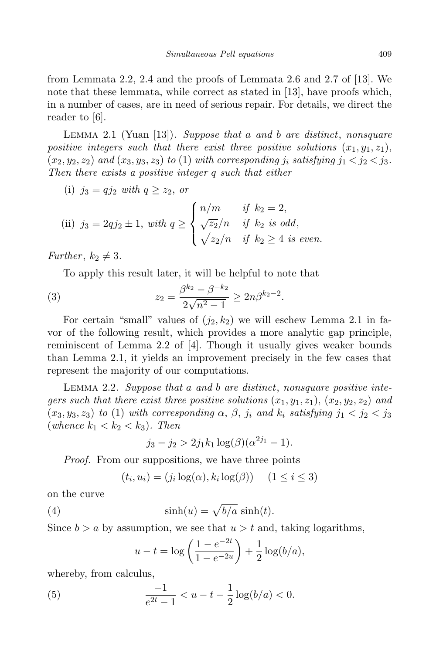from Lemmata 2.2, 2.4 and the proofs of Lemmata 2.6 and 2.7 of [13]. We note that these lemmata, while correct as stated in [13], have proofs which, in a number of cases, are in need of serious repair. For details, we direct the reader to [6].

LEMMA 2.1 (Yuan [13]). Suppose that a and b are distinct, nonsquare positive integers such that there exist three positive solutions  $(x_1, y_1, z_1)$ ,  $(x_2, y_2, z_2)$  and  $(x_3, y_3, z_3)$  to (1) with corresponding j<sub>i</sub> satisfying j<sub>1</sub> < j<sub>2</sub> < j<sub>3</sub>. Then there exists a positive integer q such that either

(i) 
$$
j_3 = qj_2
$$
 with  $q \ge z_2$ , or

(ii) 
$$
j_3 = 2qj_2 \pm 1
$$
, with  $q \ge \begin{cases} n/m & \text{if } k_2 = 2, \\ \sqrt{z_2}/n & \text{if } k_2 \text{ is odd,} \\ \sqrt{z_2}/n & \text{if } k_2 \ge 4 \text{ is even.} \end{cases}$ 

Further,  $k_2 \neq 3$ .

To apply this result later, it will be helpful to note that

(3) 
$$
z_2 = \frac{\beta^{k_2} - \beta^{-k_2}}{2\sqrt{n^2 - 1}} \ge 2n\beta^{k_2 - 2}.
$$

For certain "small" values of  $(j_2, k_2)$  we will eschew Lemma 2.1 in favor of the following result, which provides a more analytic gap principle, reminiscent of Lemma 2.2 of [4]. Though it usually gives weaker bounds than Lemma 2.1, it yields an improvement precisely in the few cases that represent the majority of our computations.

LEMMA 2.2. Suppose that a and b are distinct, nonsquare positive integers such that there exist three positive solutions  $(x_1, y_1, z_1), (x_2, y_2, z_2)$  and  $(x_3, y_3, z_3)$  to (1) with corresponding  $\alpha$ ,  $\beta$ ,  $j_i$  and  $k_i$  satisfying  $j_1 < j_2 < j_3$ (whence  $k_1 < k_2 < k_3$ ). Then

$$
j_3 - j_2 > 2j_1k_1 \log(\beta)(\alpha^{2j_1} - 1).
$$

*Proof.* From our suppositions, we have three points

$$
(t_i, u_i) = (j_i \log(\alpha), k_i \log(\beta)) \quad (1 \le i \le 3)
$$

on the curve

(4) 
$$
\sinh(u) = \sqrt{b/a} \sinh(t).
$$

Since  $b > a$  by assumption, we see that  $u > t$  and, taking logarithms,

$$
u - t = \log\left(\frac{1 - e^{-2t}}{1 - e^{-2u}}\right) + \frac{1}{2}\log(b/a),
$$

whereby, from calculus,

(5) 
$$
\frac{-1}{e^{2t}-1} < u - t - \frac{1}{2}\log(b/a) < 0.
$$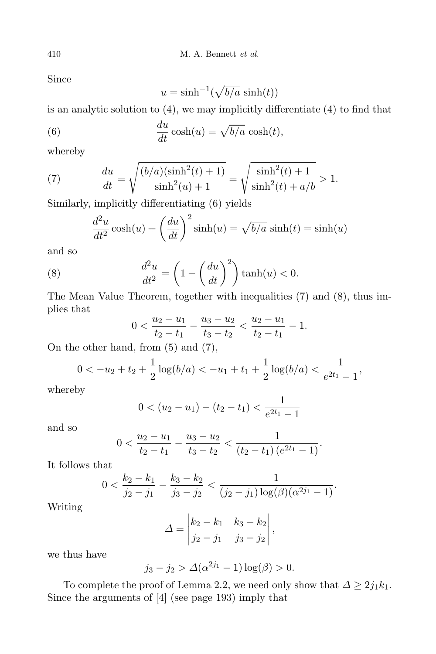Since

$$
u = \sinh^{-1}(\sqrt{b/a}\, \sinh(t))
$$

is an analytic solution to (4), we may implicitly differentiate (4) to find that

(6) 
$$
\frac{du}{dt}\cosh(u) = \sqrt{b/a}\cosh(t),
$$

whereby

(7) 
$$
\frac{du}{dt} = \sqrt{\frac{(b/a)(\sinh^2(t) + 1)}{\sinh^2(u) + 1}} = \sqrt{\frac{\sinh^2(t) + 1}{\sinh^2(t) + a/b}} > 1.
$$

Similarly, implicitly differentiating (6) yields

$$
\frac{d^2u}{dt^2}\cosh(u) + \left(\frac{du}{dt}\right)^2\sinh(u) = \sqrt{b/a}\,\sinh(t) = \sinh(u)
$$

and so

(8) 
$$
\frac{d^2u}{dt^2} = \left(1 - \left(\frac{du}{dt}\right)^2\right)\tanh(u) < 0.
$$

The Mean Value Theorem, together with inequalities (7) and (8), thus implies that

$$
0 < \frac{u_2 - u_1}{t_2 - t_1} - \frac{u_3 - u_2}{t_3 - t_2} < \frac{u_2 - u_1}{t_2 - t_1} - 1.
$$

On the other hand, from (5) and (7),

$$
0 < -u_2 + t_2 + \frac{1}{2}\log(b/a) < -u_1 + t_1 + \frac{1}{2}\log(b/a) < \frac{1}{e^{2t_1} - 1},
$$

whereby

$$
0 < (u_2 - u_1) - (t_2 - t_1) < \frac{1}{e^{2t_1} - 1}
$$

and so

$$
0 < \frac{u_2 - u_1}{t_2 - t_1} - \frac{u_3 - u_2}{t_3 - t_2} < \frac{1}{(t_2 - t_1) \left(e^{2t_1} - 1\right)}.
$$

It follows that

$$
0 < \frac{k_2 - k_1}{j_2 - j_1} - \frac{k_3 - k_2}{j_3 - j_2} < \frac{1}{(j_2 - j_1) \log(\beta)(\alpha^{2j_1} - 1)}.
$$

Writing

$$
\Delta = \begin{vmatrix} k_2 - k_1 & k_3 - k_2 \\ j_2 - j_1 & j_3 - j_2 \end{vmatrix},
$$

we thus have

$$
j_3 - j_2 > \Delta(\alpha^{2j_1} - 1) \log(\beta) > 0.
$$

To complete the proof of Lemma 2.2, we need only show that  $\Delta \geq 2j_1k_1$ . Since the arguments of [4] (see page 193) imply that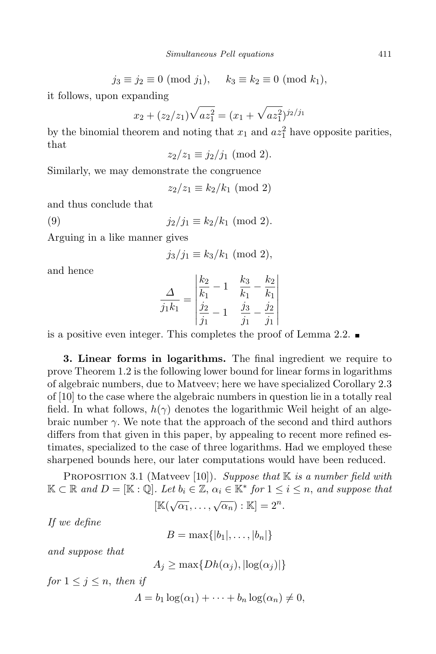$$
j_3 \equiv j_2 \equiv 0 \pmod{j_1}, \quad k_3 \equiv k_2 \equiv 0 \pmod{k_1},
$$

it follows, upon expanding

$$
x_2 + (z_2/z_1)\sqrt{az_1^2} = (x_1 + \sqrt{az_1^2})^{j_2/j_1}
$$

by the binomial theorem and noting that  $x_1$  and  $az_1^2$  have opposite parities, that

 $z_2/z_1 \equiv i_2/i_1 \pmod{2}$ .

Similarly, we may demonstrate the congruence

 $z_2/z_1 \equiv k_2/k_1 \pmod{2}$ 

and thus conclude that

$$
(9) \t j_2/j_1 \equiv k_2/k_1 \pmod{2}.
$$

Arguing in a like manner gives

$$
j_3/j_1 \equiv k_3/k_1 \pmod{2},
$$

and hence

$$
\frac{\Delta}{j_1 k_1} = \begin{vmatrix} \frac{k_2}{k_1} - 1 & \frac{k_3}{k_1} - \frac{k_2}{k_1} \\ \frac{j_2}{j_1} - 1 & \frac{j_3}{j_1} - \frac{j_2}{j_1} \end{vmatrix}
$$

is a positive even integer. This completes the proof of Lemma 2.2.

3. Linear forms in logarithms. The final ingredient we require to prove Theorem 1.2 is the following lower bound for linear forms in logarithms of algebraic numbers, due to Matveev; here we have specialized Corollary 2.3 of [10] to the case where the algebraic numbers in question lie in a totally real field. In what follows,  $h(\gamma)$  denotes the logarithmic Weil height of an algebraic number  $\gamma$ . We note that the approach of the second and third authors differs from that given in this paper, by appealing to recent more refined estimates, specialized to the case of three logarithms. Had we employed these sharpened bounds here, our later computations would have been reduced.

PROPOSITION 3.1 (Matveev [10]). Suppose that  $K$  is a number field with  $\mathbb{K} \subset \mathbb{R}$  and  $D = [\mathbb{K} : \mathbb{Q}]$ . Let  $b_i \in \mathbb{Z}, \alpha_i \in \mathbb{K}^*$  for  $1 \leq i \leq n$ , and suppose that  $[\mathbb{K}(\sqrt{\alpha_1}, \ldots, \sqrt{\alpha_n}) : \mathbb{K}] = 2^n.$ 

If we define

$$
B=\max\{|b_1|,\ldots,|b_n|\}
$$

and suppose that

 $A_i \geq \max\{Dh(\alpha_i), |\log(\alpha_i)|\}$ 

for  $1 \leq j \leq n$ , then if

$$
\Lambda = b_1 \log(\alpha_1) + \cdots + b_n \log(\alpha_n) \neq 0,
$$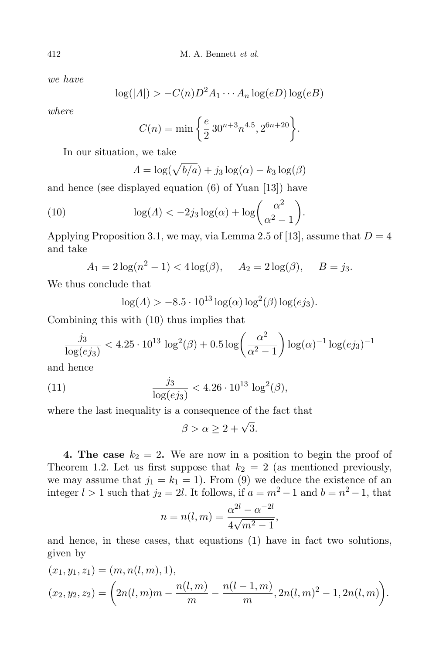we have

$$
\log(|A|) > -C(n)D^2 A_1 \cdots A_n \log(eD) \log(eB)
$$

where

$$
C(n) = \min\left\{\frac{e}{2} 30^{n+3} n^{4.5}, 2^{6n+20}\right\}.
$$

In our situation, we take

$$
\Lambda = \log(\sqrt{b/a}) + j_3 \log(\alpha) - k_3 \log(\beta)
$$

and hence (see displayed equation (6) of Yuan [13]) have

(10) 
$$
\log(\Lambda) < -2j_3 \log(\alpha) + \log\left(\frac{\alpha^2}{\alpha^2 - 1}\right).
$$

Applying Proposition 3.1, we may, via Lemma 2.5 of [13], assume that  $D = 4$ and take

 $A_1 = 2\log(n^2 - 1) < 4\log(\beta), \quad A_2 = 2\log(\beta), \quad B = j_3.$ 

We thus conclude that

$$
\log(\Lambda) > -8.5 \cdot 10^{13} \log(\alpha) \log^2(\beta) \log(ej_3).
$$

Combining this with (10) thus implies that

$$
\frac{j_3}{\log(ej_3)} < 4.25 \cdot 10^{13} \log^2(\beta) + 0.5 \log\left(\frac{\alpha^2}{\alpha^2 - 1}\right) \log(\alpha)^{-1} \log(ej_3)^{-1}
$$

and hence

(11) 
$$
\frac{j_3}{\log(ej_3)} < 4.26 \cdot 10^{13} \log^2(\beta),
$$

where the last inequality is a consequence of the fact that

 $\beta > \alpha \geq 2 + \sqrt{3}.$ 

**4. The case**  $k_2 = 2$ . We are now in a position to begin the proof of Theorem 1.2. Let us first suppose that  $k_2 = 2$  (as mentioned previously, we may assume that  $j_1 = k_1 = 1$ . From (9) we deduce the existence of an integer  $l > 1$  such that  $j_2 = 2l$ . It follows, if  $a = m^2 - 1$  and  $b = n^2 - 1$ , that

$$
n = n(l, m) = \frac{\alpha^{2l} - \alpha^{-2l}}{4\sqrt{m^2 - 1}},
$$

and hence, in these cases, that equations (1) have in fact two solutions, given by

$$
(x_1, y_1, z_1) = (m, n(l, m), 1),
$$
  

$$
(x_2, y_2, z_2) = \left(2n(l, m)m - \frac{n(l, m)}{m} - \frac{n(l - 1, m)}{m}, 2n(l, m)^2 - 1, 2n(l, m)\right).
$$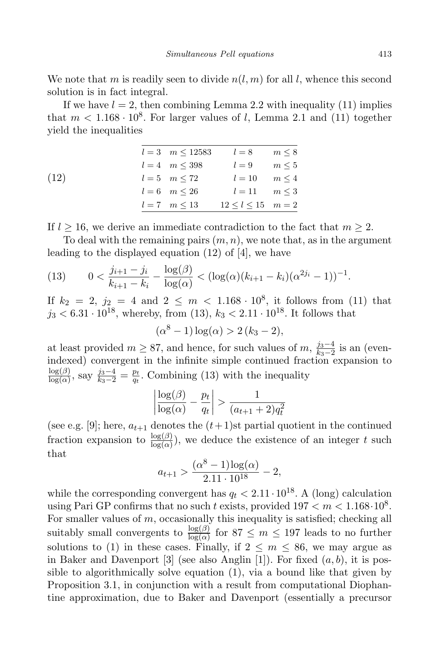We note that m is readily seen to divide  $n(l, m)$  for all l, whence this second solution is in fact integral.

If we have  $l = 2$ , then combining Lemma 2.2 with inequality (11) implies that  $m < 1.168 \cdot 10^8$ . For larger values of l, Lemma 2.1 and (11) together yield the inequalities

|      | $l = 3 \quad m \le 12583$ | $l=8$                    | $m \leq 8$ |
|------|---------------------------|--------------------------|------------|
|      | $l = 4 \quad m \leq 398$  | $l=9$                    | $m \leq 5$ |
| (12) | $l = 5$ $m < 72$          | $l = 10 \qquad m \leq 4$ |            |
|      | $l = 6$ $m < 26$          | $l = 11$ $m < 3$         |            |
|      | $l = 7$ $m < 13$          | $12 < l < 15$ $m = 2$    |            |

If  $l \geq 16$ , we derive an immediate contradiction to the fact that  $m \geq 2$ .

To deal with the remaining pairs  $(m, n)$ , we note that, as in the argument leading to the displayed equation (12) of [4], we have

(13) 
$$
0 < \frac{j_{i+1} - j_i}{k_{i+1} - k_i} - \frac{\log(\beta)}{\log(\alpha)} < (\log(\alpha)(k_{i+1} - k_i)(\alpha^{2j_i} - 1))^{-1}.
$$

If  $k_2 = 2$ ,  $j_2 = 4$  and  $2 \le m < 1.168 \cdot 10^8$ , it follows from (11) that  $j_3 < 6.31 \cdot 10^{18}$ , whereby, from (13),  $k_3 < 2.11 \cdot 10^{18}$ . It follows that

$$
(\alpha^8 - 1) \log(\alpha) > 2 (k_3 - 2),
$$

at least provided  $m \geq 87$ , and hence, for such values of m,  $\frac{j_3-4}{k_3-2}$  $\frac{j_3-4}{k_3-2}$  is an (evenindexed) convergent in the infinite simple continued fraction expansion to  $\log(\beta)$  $\frac{\log(\beta)}{\log(\alpha)}$ , say  $\frac{j_3-4}{k_3-2} = \frac{p_t}{q_t}$  $\frac{pt}{qt}$ . Combining (13) with the inequality

$$
\left|\frac{\log(\beta)}{\log(\alpha)} - \frac{p_t}{q_t}\right| > \frac{1}{(a_{t+1} + 2)q_t^2}
$$

(see e.g. [9]; here,  $a_{t+1}$  denotes the  $(t+1)$ st partial quotient in the continued fraction expansion to  $\frac{\log(\beta)}{\log(\alpha)}$ , we deduce the existence of an integer t such that

$$
a_{t+1} > \frac{(\alpha^8 - 1)\log(\alpha)}{2.11 \cdot 10^{18}} - 2,
$$

while the corresponding convergent has  $q_t < 2.11 \cdot 10^{18}$ . A (long) calculation using Pari GP confirms that no such t exists, provided  $197 < m < 1.168 \cdot 10^8$ . For smaller values of  $m$ , occasionally this inequality is satisfied; checking all suitably small convergents to  $\frac{\log(\beta)}{\log(\alpha)}$  for  $87 \le m \le 197$  leads to no further solutions to (1) in these cases. Finally, if  $2 \leq m \leq 86$ , we may argue as in Baker and Davenport [3] (see also Anglin [1]). For fixed  $(a, b)$ , it is possible to algorithmically solve equation (1), via a bound like that given by Proposition 3.1, in conjunction with a result from computational Diophantine approximation, due to Baker and Davenport (essentially a precursor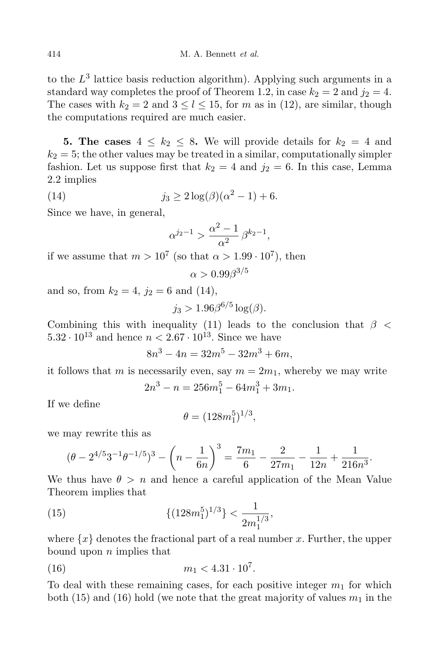to the  $L^3$  lattice basis reduction algorithm). Applying such arguments in a standard way completes the proof of Theorem 1.2, in case  $k_2 = 2$  and  $j_2 = 4$ . The cases with  $k_2 = 2$  and  $3 \leq l \leq 15$ , for m as in (12), are similar, though the computations required are much easier.

**5. The cases**  $4 \leq k_2 \leq 8$ . We will provide details for  $k_2 = 4$  and  $k_2 = 5$ ; the other values may be treated in a similar, computationally simpler fashion. Let us suppose first that  $k_2 = 4$  and  $j_2 = 6$ . In this case, Lemma 2.2 implies

(14) 
$$
j_3 \ge 2\log(\beta)(\alpha^2 - 1) + 6.
$$

Since we have, in general,

$$
\alpha^{j_2-1}>\frac{\alpha^2-1}{\alpha^2}\,\beta^{k_2-1},
$$

if we assume that  $m > 10^7$  (so that  $\alpha > 1.99 \cdot 10^7$ ), then

$$
\alpha > 0.99 \beta^{3/5}
$$

and so, from  $k_2 = 4$ ,  $j_2 = 6$  and (14),

$$
j_3 > 1.96\beta^{6/5} \log(\beta).
$$

Combining this with inequality (11) leads to the conclusion that  $\beta$  <  $5.32 \cdot 10^{13}$  and hence  $n < 2.67 \cdot 10^{13}$ . Since we have

$$
8n^3 - 4n = 32m^5 - 32m^3 + 6m,
$$

it follows that m is necessarily even, say  $m = 2m_1$ , whereby we may write

$$
2n^3 - n = 256m_1^5 - 64m_1^3 + 3m_1.
$$

If we define

$$
\theta = (128m_1^5)^{1/3},
$$

we may rewrite this as

$$
(\theta - 2^{4/5}3^{-1}\theta^{-1/5})^3 - \left(n - \frac{1}{6n}\right)^3 = \frac{7m_1}{6} - \frac{2}{27m_1} - \frac{1}{12n} + \frac{1}{216n^3}.
$$

We thus have  $\theta > n$  and hence a careful application of the Mean Value Theorem implies that

(15) 
$$
\{(128m_1^5)^{1/3}\} < \frac{1}{2m_1^{1/3}},
$$

where  $\{x\}$  denotes the fractional part of a real number x. Further, the upper bound upon  $n$  implies that

(16) 
$$
m_1 < 4.31 \cdot 10^7
$$
.

To deal with these remaining cases, for each positive integer  $m_1$  for which both (15) and (16) hold (we note that the great majority of values  $m_1$  in the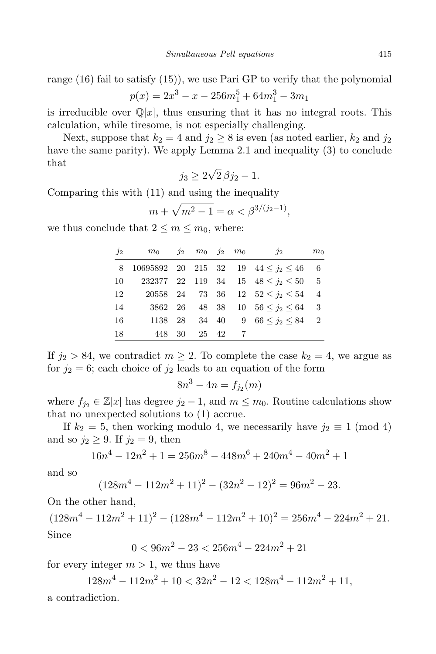range (16) fail to satisfy (15)), we use Pari GP to verify that the polynomial  $p(x) = 2x^3 - x - 256m_1^5 + 64m_1^3 - 3m_1$ 

is irreducible over  $\mathbb{Q}[x]$ , thus ensuring that it has no integral roots. This calculation, while tiresome, is not especially challenging.

Next, suppose that  $k_2 = 4$  and  $j_2 \geq 8$  is even (as noted earlier,  $k_2$  and  $j_2$ ) have the same parity). We apply Lemma 2.1 and inequality (3) to conclude that

$$
j_3 \ge 2\sqrt{2}\,\beta j_2 - 1.
$$

Comparing this with (11) and using the inequality

$$
m + \sqrt{m^2 - 1} = \alpha < \beta^{3/(j_2 - 1)},
$$

we thus conclude that  $2 \leq m \leq m_0$ , where:

| $j_2$ | $m_0$   | $j_2$ $m_0$ $j_2$ $m_0$ |     | $\frac{1}{2}$                                 | m <sub>0</sub> |
|-------|---------|-------------------------|-----|-----------------------------------------------|----------------|
|       |         |                         |     | 8 10695892 20 215 32 19 $44 \leq i_2 \leq 46$ | -6             |
| 10    |         |                         |     | 232377 22 119 34 15 $48 \leq i_2 \leq 50$     | -5             |
| 12    |         |                         |     | 20558 24 73 36 12 $52 \lt i_2 \lt 54$         | $\overline{4}$ |
| 14    |         |                         |     | 3862 26 48 38 10 $56 \leq j_2 \leq 64$        | -3             |
| 16    | 1138 28 |                         |     | 34 40 9 66 $\lt i_2 \lt 84$                   | $\overline{2}$ |
| 18    | 448 30  | 25 42                   | - 7 |                                               |                |

If  $j_2 > 84$ , we contradict  $m \geq 2$ . To complete the case  $k_2 = 4$ , we argue as for  $j_2 = 6$ ; each choice of  $j_2$  leads to an equation of the form

$$
8n^3 - 4n = f_{j_2}(m)
$$

where  $f_{j_2} \in \mathbb{Z}[x]$  has degree  $j_2 - 1$ , and  $m \leq m_0$ . Routine calculations show that no unexpected solutions to (1) accrue.

If  $k_2 = 5$ , then working modulo 4, we necessarily have  $j_2 \equiv 1 \pmod{4}$ and so  $j_2 \geq 9$ . If  $j_2 = 9$ , then

$$
16n4 - 12n2 + 1 = 256m8 - 448m6 + 240m4 - 40m2 + 1
$$

and so

$$
(128m4 - 112m2 + 11)2 - (32n2 - 12)2 = 96m2 - 23.
$$

On the other hand,

 $(128m^4 - 112m^2 + 11)^2 - (128m^4 - 112m^2 + 10)^2 = 256m^4 - 224m^2 + 21.$ Since

$$
0 < 96m^2 - 23 < 256m^4 - 224m^2 + 21
$$

for every integer  $m > 1$ , we thus have

 $128m^4 - 112m^2 + 10 < 32n^2 - 12 < 128m^4 - 112m^2 + 11,$ a contradiction.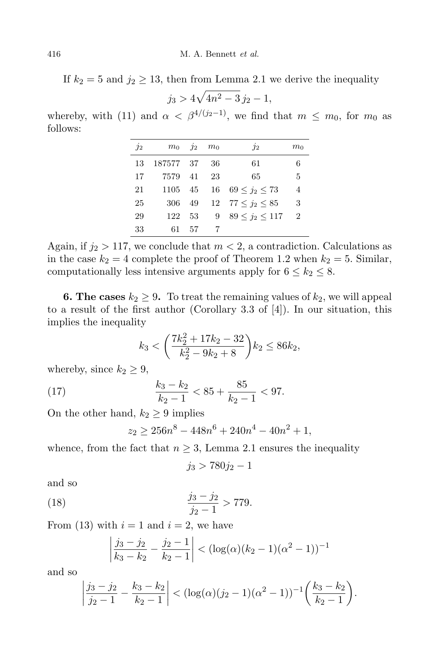If  $k_2 = 5$  and  $j_2 \ge 13$ , then from Lemma 2.1 we derive the inequality

$$
j_3 > 4\sqrt{4n^2 - 3} j_2 - 1,
$$

whereby, with (11) and  $\alpha < \beta^{4/(j_2-1)}$ , we find that  $m \leq m_0$ , for  $m_0$  as follows:

| $j_2$ |           | $m_0$ $i_2$ $m_0$ |    | $j_2$                          | m <sub>0</sub> |
|-------|-----------|-------------------|----|--------------------------------|----------------|
| 13    | 187577 37 |                   | 36 | 61                             | 6              |
| 17    | 7579 41   |                   | 23 | 65                             | 5              |
| 21    |           |                   |    | 1105 45 16 69 $\lt i_2 \lt 73$ | $\overline{4}$ |
| 25    |           |                   |    | 306 49 12 77 $\lt i_2 \lt 85$  | 3              |
| 29    | 122       | 53                |    | 9 89 $\lt j_2 \lt 117$         | $\overline{2}$ |
| 33    | 61        | - 57              |    |                                |                |

Again, if  $j_2 > 117$ , we conclude that  $m < 2$ , a contradiction. Calculations as in the case  $k_2 = 4$  complete the proof of Theorem 1.2 when  $k_2 = 5$ . Similar, computationally less intensive arguments apply for  $6 \leq k_2 \leq 8$ .

**6. The cases**  $k_2 \geq 9$ . To treat the remaining values of  $k_2$ , we will appeal to a result of the first author (Corollary 3.3 of [4]). In our situation, this implies the inequality

$$
k_3 < \left(\frac{7k_2^2 + 17k_2 - 32}{k_2^2 - 9k_2 + 8}\right) k_2 \le 86k_2,
$$

whereby, since  $k_2 \geq 9$ ,

(17) 
$$
\frac{k_3 - k_2}{k_2 - 1} < 85 + \frac{85}{k_2 - 1} < 97.
$$

On the other hand,  $k_2 \geq 9$  implies

$$
z_2 \ge 256n^8 - 448n^6 + 240n^4 - 40n^2 + 1,
$$

whence, from the fact that  $n \geq 3$ , Lemma 2.1 ensures the inequality

$$
j_3 > 780j_2 - 1
$$

and so

(18) 
$$
\frac{j_3 - j_2}{j_2 - 1} > 779.
$$

From (13) with  $i = 1$  and  $i = 2$ , we have

$$
\left|\frac{j_3 - j_2}{k_3 - k_2} - \frac{j_2 - 1}{k_2 - 1}\right| < (\log(\alpha)(k_2 - 1)(\alpha^2 - 1))^{-1}
$$

and so

$$
\left|\frac{j_3-j_2}{j_2-1}-\frac{k_3-k_2}{k_2-1}\right| < (\log(\alpha)(j_2-1)(\alpha^2-1))^{-1}\bigg(\frac{k_3-k_2}{k_2-1}\bigg).
$$